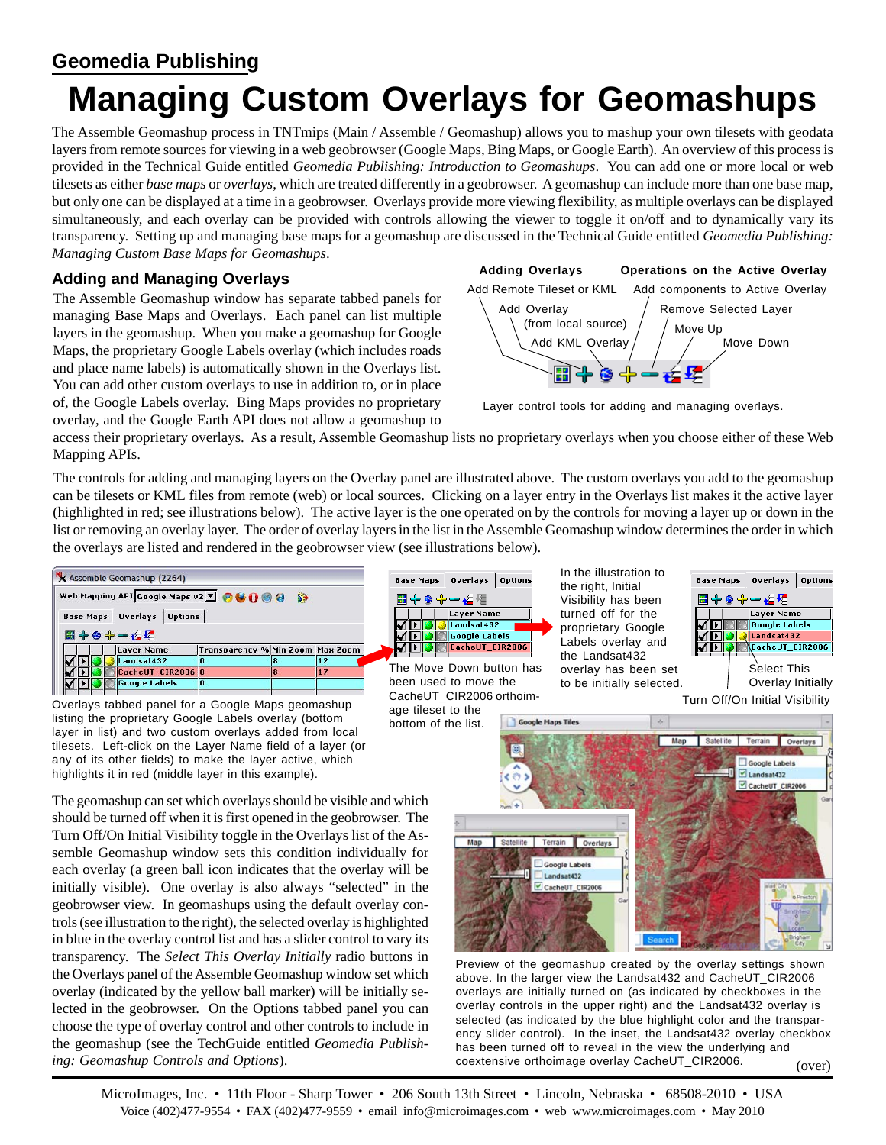# **Geomedia Publishing**

# **Managing Custom Overlays for Geomashups**

The Assemble Geomashup process in TNTmips (Main / Assemble / Geomashup) allows you to mashup your own tilesets with geodata layers from remote sources for viewing in a web geobrowser (Google Maps, Bing Maps, or Google Earth). An overview of this process is provided in the Technical Guide entitled *Geomedia Publishing: Introduction to Geomashups*. You can add one or more local or web tilesets as either *base maps* or *overlays*, which are treated differently in a geobrowser. A geomashup can include more than one base map, but only one can be displayed at a time in a geobrowser. Overlays provide more viewing flexibility, as multiple overlays can be displayed simultaneously, and each overlay can be provided with controls allowing the viewer to toggle it on/off and to dynamically vary its transparency. Setting up and managing base maps for a geomashup are discussed in the Technical Guide entitled *Geomedia Publishing: Managing Custom Base Maps for Geomashups*.

## **Adding and Managing Overlays**

The Assemble Geomashup window has separate tabbed panels for managing Base Maps and Overlays. Each panel can list multiple layers in the geomashup. When you make a geomashup for Google Maps, the proprietary Google Labels overlay (which includes roads and place name labels) is automatically shown in the Overlays list. You can add other custom overlays to use in addition to, or in place of, the Google Labels overlay. Bing Maps provides no proprietary overlay, and the Google Earth API does not allow a geomashup to



Layer control tools for adding and managing overlays.

access their proprietary overlays. As a result, Assemble Geomashup lists no proprietary overlays when you choose either of these Web Mapping APIs.

The controls for adding and managing layers on the Overlay panel are illustrated above. The custom overlays you add to the geomashup can be tilesets or KML files from remote (web) or local sources. Clicking on a layer entry in the Overlays list makes it the active layer (highlighted in red; see illustrations below). The active layer is the one operated on by the controls for moving a layer up or down in the list or removing an overlay layer. The order of overlay layers in the list in the Assemble Geomashup window determines the order in which the overlays are listed and rendered in the geobrowser view (see illustrations below).



Overlays tabbed panel for a Google Maps geomashup listing the proprietary Google Labels overlay (bottom layer in list) and two custom overlays added from local tilesets. Left-click on the Layer Name field of a layer (or any of its other fields) to make the layer active, which

highlights it in red (middle layer in this example).

The geomashup can set which overlays should be visible and which should be turned off when it is first opened in the geobrowser. The Turn Off/On Initial Visibility toggle in the Overlays list of the Assemble Geomashup window sets this condition individually for each overlay (a green ball icon indicates that the overlay will be initially visible). One overlay is also always "selected" in the geobrowser view. In geomashups using the default overlay controls (see illustration to the right), the selected overlay is highlighted in blue in the overlay control list and has a slider control to vary its transparency. The *Select This Overlay Initially* radio buttons in the Overlays panel of the Assemble Geomashup window set which overlay (indicated by the yellow ball marker) will be initially selected in the geobrowser. On the Options tabbed panel you can choose the type of overlay control and other controls to include in the geomashup (see the TechGuide entitled *Geomedia Publishing: Geomashup Controls and Options*).



The Move Down button has been used to move the CacheUT\_CIR2006 orthoimage tileset to the

In the illustration to the right, Initial Visibility has been turned off for the proprietary Google Labels overlay and the Landsat432 overlay has been set to be initially selected.



Turn Off/On Initial Visibility



(over) Preview of the geomashup created by the overlay settings shown above. In the larger view the Landsat432 and CacheUT\_CIR2006 overlays are initially turned on (as indicated by checkboxes in the overlay controls in the upper right) and the Landsat432 overlay is selected (as indicated by the blue highlight color and the transparency slider control). In the inset, the Landsat432 overlay checkbox has been turned off to reveal in the view the underlying and coextensive orthoimage overlay CacheUT\_CIR2006.

MicroImages, Inc. • 11th Floor - Sharp Tower • 206 South 13th Street • Lincoln, Nebraska • 68508-2010 • USA Voice (402)477-9554 • FAX (402)477-9559 • email info@microimages.com • web www.microimages.com • May 2010